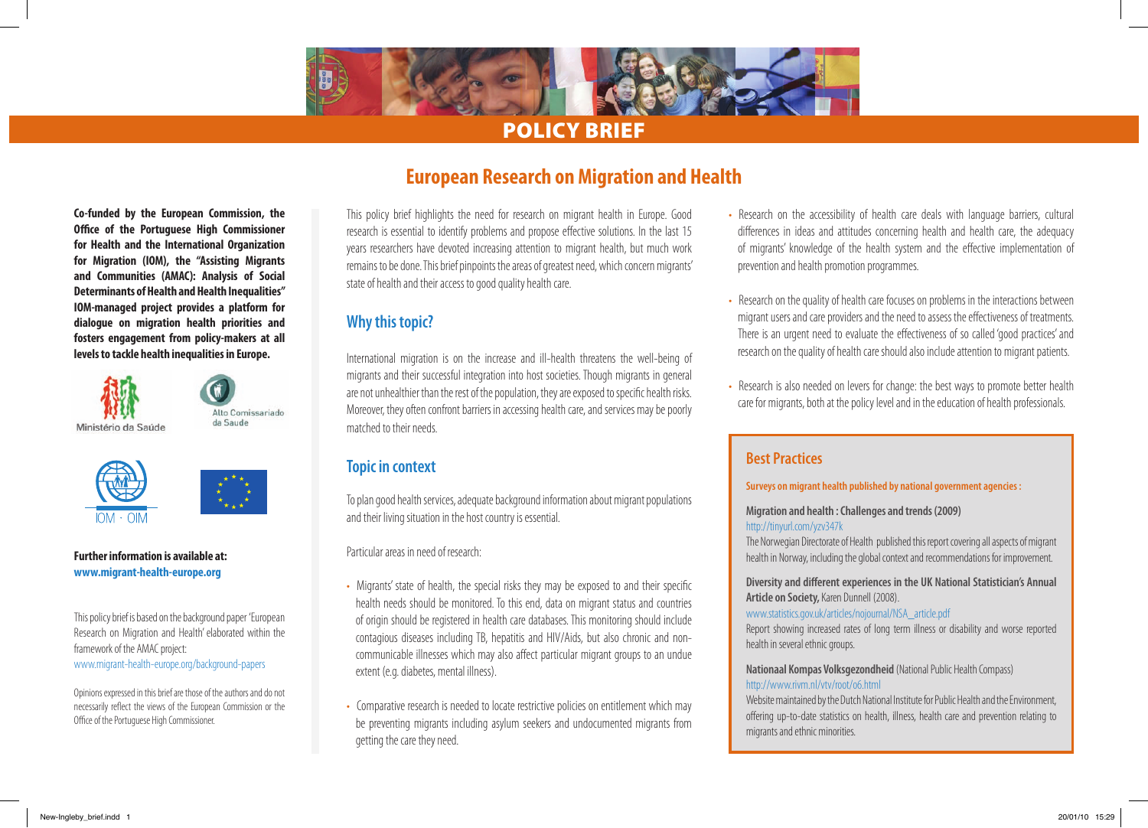

# Policy Brief

**Co-funded by the European Commission, the Office of the Portuguese High Commissioner for Health and the International Organization for Migration (IOM), the "Assisting Migrants and Communities (AMAC): Analysis of Social Determinants of Health and Health Inequalities" IOM-managed project provides a platform for dialogue on migration health priorities and fosters engagement from policy-makers at all levels to tackle health inequalities in Europe.**

Alto Comissariado da Saude Ministério da Saúde



#### **Further information is available at: www.migrant-health-europe.org**

This policy brief is based on the background paper 'European Research on Migration and Health' elaborated within the framework of the AMAC project: www.migrant-health-europe.org/background-papers

Opinions expressed in this brief are those of the authors and do not necessarily reflect the views of the European Commission or the Office of the Portuguese High Commissioner.

# **European Research on Migration and Health**

This policy brief highlights the need for research on migrant health in Europe. Good research is essential to identify problems and propose effective solutions. In the last 15 years researchers have devoted increasing attention to migrant health, but much work remains to be done. This brief pinpoints the areas of greatest need, which concern migrants' state of health and their access to good quality health care.

## **Why this topic?**

International migration is on the increase and ill-health threatens the well-being of migrants and their successful integration into host societies. Though migrants in general are not unhealthier than the rest of the population, they are exposed to specific health risks. Moreover, they often confront barriers in accessing health care, and services may be poorly matched to their needs.

## **Topic in context**

To plan good health services, adequate background information about migrant populations and their living situation in the host country is essential.

Particular areas in need of research:

- Migrants' state of health, the special risks they may be exposed to and their specific health needs should be monitored. To this end, data on migrant status and countries of origin should be registered in health care databases. This monitoring should include contagious diseases including TB, hepatitis and HIV/Aids, but also chronic and noncommunicable illnesses which may also affect particular migrant groups to an undue extent (e.g. diabetes, mental illness).
- Comparative research is needed to locate restrictive policies on entitlement which may be preventing migrants including asylum seekers and undocumented migrants from getting the care they need.
- Research on the accessibility of health care deals with language barriers, cultural differences in ideas and attitudes concerning health and health care, the adequacy of migrants' knowledge of the health system and the effective implementation of prevention and health promotion programmes.
- Research on the quality of health care focuses on problems in the interactions between migrant users and care providers and the need to assess the effectiveness of treatments. There is an urgent need to evaluate the effectiveness of so called 'good practices' and research on the quality of health care should also include attention to migrant patients.
- Research is also needed on levers for change: the best ways to promote better health care for migrants, both at the policy level and in the education of health professionals.

## **Best Practices**

**Surveys on migrant health published by national government agencies :**

**Migration and health : Challenges and trends (2009)**

#### http://tinyurl.com/yzv347k

The Norwegian Directorate of Health published this report covering all aspects of migrant health in Norway, including the global context and recommendations for improvement.

**Diversity and different experiences in the UK National Statistician's Annual Article on Society,** Karen Dunnell (2008).

#### www.statistics.gov.uk/articles/nojournal/NSA\_article.pdf

Report showing increased rates of long term illness or disability and worse reported health in several ethnic groups.

#### **Nationaal Kompas Volksgezondheid** (National Public Health Compass) http://www.rivm.nl/vtv/root/o6.html

Website maintained by the Dutch National Institute for Public Health and the Environment, offering up-to-date statistics on health, illness, health care and prevention relating to migrants and ethnic minorities.